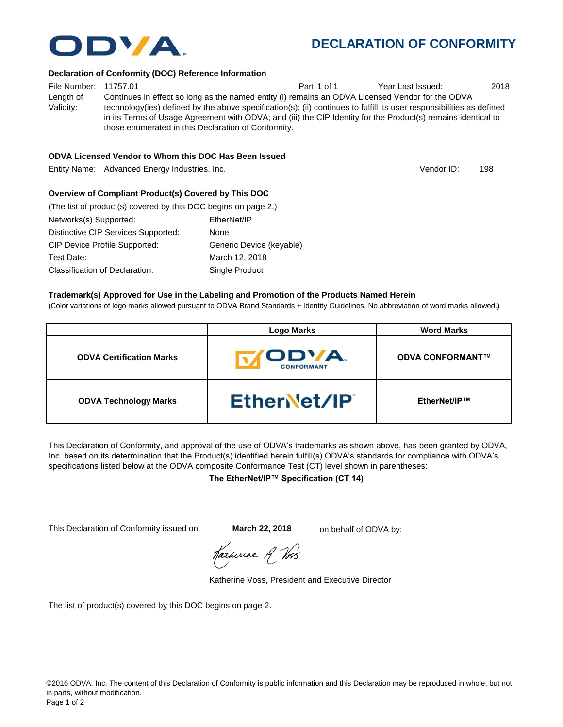

### **The EtherNet/IP™ Specification (CT 14)**

This Declaration of Conformity issued on **March 22, 2018** on behalf of ODVA by:

Katheriae A Vos

Katherine Voss, President and Executive Director

The list of product(s) covered by this DOC begins on page 2.

# **DECLARATION OF CONFORMITY**

#### **Declaration of Conformity (DOC) Reference Information**

File Number: 11757.01 **Part 1 of 1** Year Last Issued: 2018 Length of Validity: Continues in effect so long as the named entity (i) remains an ODVA Licensed Vendor for the ODVA technology(ies) defined by the above specification(s); (ii) continues to fulfill its user responsibilities as defined in its Terms of Usage Agreement with ODVA; and (iii) the CIP Identity for the Product(s) remains identical to those enumerated in this Declaration of Conformity.

#### **ODVA Licensed Vendor to Whom this DOC Has Been Issued**

Entity Name: Advanced Energy Industries, Inc. 198

#### **Overview of Compliant Product(s) Covered by This DOC**

| (The list of product(s) covered by this DOC begins on page 2.) |                          |
|----------------------------------------------------------------|--------------------------|
| Networks(s) Supported:                                         | EtherNet/IP              |
| Distinctive CIP Services Supported:                            | None                     |
| <b>CIP Device Profile Supported:</b>                           | Generic Device (keyable) |
| Test Date:                                                     | March 12, 2018           |
| Classification of Declaration:                                 | Single Product           |

#### **Trademark(s) Approved for Use in the Labeling and Promotion of the Products Named Herein**

(Color variations of logo marks allowed pursuant to ODVA Brand Standards + Identity Guidelines. No abbreviation of word marks allowed.)

|                                 | <b>Logo Marks</b>                | <b>Word Marks</b>       |
|---------------------------------|----------------------------------|-------------------------|
| <b>ODVA Certification Marks</b> | <b>ODVA</b><br><b>CONFORMANT</b> | <b>ODVA CONFORMANT™</b> |
| <b>ODVA Technology Marks</b>    | EtherNet/IP                      | EtherNet/IP™            |

This Declaration of Conformity, and approval of the use of ODVA's trademarks as shown above, has been granted by ODVA, Inc. based on its determination that the Product(s) identified herein fulfill(s) ODVA's standards for compliance with ODVA's

Vendor ID: